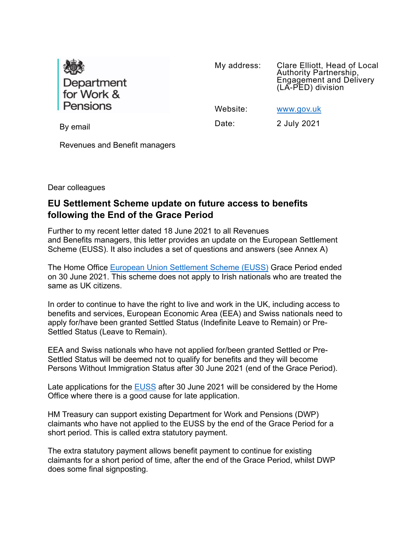

My address: Clare Elliott, Head of Local Authority Partnership, Engagement and Delivery (LA-PED) division

Website: [www.gov.uk](http://www.gov.uk/)

By email and Date: 2 July 2021

Revenues and Benefit managers

Dear colleagues

# **EU Settlement Scheme update on future access to benefits following the End of the Grace Period**

Further to my recent letter dated 18 June 2021 to all Revenues and Benefits managers, this letter provides an update on the European Settlement Scheme (EUSS). It also includes a set of questions and answers (see Annex A)

The Home Office [European Union Settlement Scheme \(EUSS\)](https://www.gov.uk/settled-status-eu-citizens-families) Grace Period ended on 30 June 2021. This scheme does not apply to Irish nationals who are treated the same as UK citizens.

In order to continue to have the right to live and work in the UK, including access to benefits and services, European Economic Area (EEA) and Swiss nationals need to apply for/have been granted Settled Status (Indefinite Leave to Remain) or Pre-Settled Status (Leave to Remain).

EEA and Swiss nationals who have not applied for/been granted Settled or Pre-Settled Status will be deemed not to qualify for benefits and they will become Persons Without Immigration Status after 30 June 2021 (end of the Grace Period).

Late applications for the [EUSS](https://www.gov.uk/settled-status-eu-citizens-families) after 30 June 2021 will be considered by the Home Office where there is a good cause for late application.

HM Treasury can support existing Department for Work and Pensions (DWP) claimants who have not applied to the EUSS by the end of the Grace Period for a short period. This is called extra statutory payment.

The extra statutory payment allows benefit payment to continue for existing claimants for a short period of time, after the end of the Grace Period, whilst DWP does some final signposting.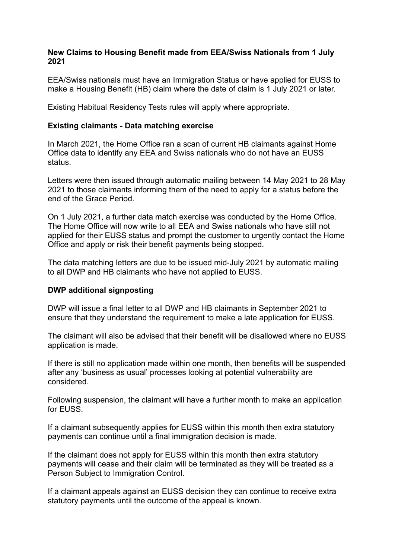## **New Claims to Housing Benefit made from EEA/Swiss Nationals from 1 July 2021**

EEA/Swiss nationals must have an Immigration Status or have applied for EUSS to make a Housing Benefit (HB) claim where the date of claim is 1 July 2021 or later.

Existing Habitual Residency Tests rules will apply where appropriate.

#### **Existing claimants - Data matching exercise**

In March 2021, the Home Office ran a scan of current HB claimants against Home Office data to identify any EEA and Swiss nationals who do not have an EUSS status.

Letters were then issued through automatic mailing between 14 May 2021 to 28 May 2021 to those claimants informing them of the need to apply for a status before the end of the Grace Period.

On 1 July 2021, a further data match exercise was conducted by the Home Office. The Home Office will now write to all EEA and Swiss nationals who have still not applied for their EUSS status and prompt the customer to urgently contact the Home Office and apply or risk their benefit payments being stopped.

The data matching letters are due to be issued mid-July 2021 by automatic mailing to all DWP and HB claimants who have not applied to EUSS.

## **DWP additional signposting**

DWP will issue a final letter to all DWP and HB claimants in September 2021 to ensure that they understand the requirement to make a late application for EUSS.

The claimant will also be advised that their benefit will be disallowed where no EUSS application is made.

If there is still no application made within one month, then benefits will be suspended after any 'business as usual' processes looking at potential vulnerability are considered.

Following suspension, the claimant will have a further month to make an application for EUSS.

If a claimant subsequently applies for EUSS within this month then extra statutory payments can continue until a final immigration decision is made.

If the claimant does not apply for EUSS within this month then extra statutory payments will cease and their claim will be terminated as they will be treated as a Person Subject to Immigration Control.

If a claimant appeals against an EUSS decision they can continue to receive extra statutory payments until the outcome of the appeal is known.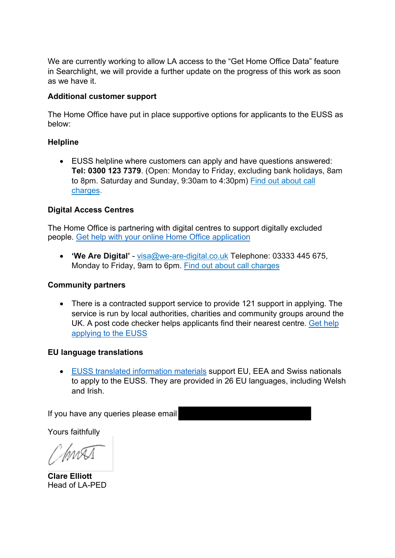We are currently working to allow LA access to the "Get Home Office Data" feature in Searchlight, we will provide a further update on the progress of this work as soon as we have it.

## **Additional customer support**

The Home Office have put in place supportive options for applicants to the EUSS as below:

## **Helpline**

• EUSS helpline where customers can apply and have questions answered: **Tel: 0300 123 7379**. (Open: Monday to Friday, excluding bank holidays, 8am to 8pm. Saturday and Sunday, 9:30am to 4:30pm) Find out [about](https://www.gov.uk/call-charges) call [charges.](https://www.gov.uk/call-charges)

## **Digital Access Centres**

The Home Office is partnering with digital centres to support digitally excluded people. [Get help with your online Home Office application](https://www.gov.uk/assisted-digital-help-online-applications) 

• **'We Are Digital'** - [visa@we-are-digital.co.uk](mailto:visa@we-are-digital.co.uk) Telephone: 03333 445 675, Monday to Friday, 9am to 6pm. Find out about call [charges](https://www.gov.uk/call-charges)

## **Community partners**

• There is a contracted support service to provide 121 support in applying. The service is run by local authorities, charities and community groups around the UK. A post code checker helps applicants find their nearest centre. [Get help](https://www.gov.uk/help-eu-settlement-scheme)  [applying to the EUSS](https://www.gov.uk/help-eu-settlement-scheme) 

## **EU language translations**

• [EUSS translated information materials](https://www.gov.uk/government/collections/eu-settlement-scheme-translated-information-materials) support EU, EEA and Swiss nationals to apply to the EUSS. They are provided in 26 EU languages, including Welsh and Irish.

If you have any queries please email

Yours faithfully

InnA

**Clare Elliott**  Head of LA-PED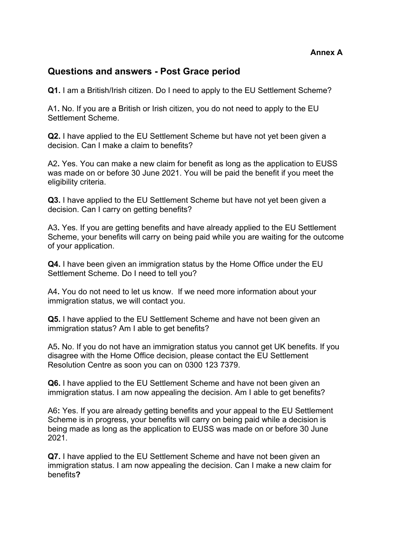## **Questions and answers - Post Grace period**

**Q1.** I am a British/Irish citizen. Do I need to apply to the EU Settlement Scheme?

A1**.** No. If you are a British or Irish citizen, you do not need to apply to the EU Settlement Scheme.

**Q2.** I have applied to the EU Settlement Scheme but have not yet been given a decision. Can I make a claim to benefits?

A2**.** Yes. You can make a new claim for benefit as long as the application to EUSS was made on or before 30 June 2021. You will be paid the benefit if you meet the eligibility criteria.

**Q3.** I have applied to the EU Settlement Scheme but have not yet been given a decision. Can I carry on getting benefits?

A3**.** Yes. If you are getting benefits and have already applied to the EU Settlement Scheme, your benefits will carry on being paid while you are waiting for the outcome of your application.

**Q4.** I have been given an immigration status by the Home Office under the EU Settlement Scheme. Do I need to tell you?

A4**.** You do not need to let us know. If we need more information about your immigration status, we will contact you.

**Q5.** I have applied to the EU Settlement Scheme and have not been given an immigration status? Am I able to get benefits?

A5**.** No. If you do not have an immigration status you cannot get UK benefits. If you disagree with the Home Office decision, please contact the EU Settlement Resolution Centre as soon you can on 0300 123 7379.

**Q6.** I have applied to the EU Settlement Scheme and have not been given an immigration status. I am now appealing the decision. Am I able to get benefits?

A6**:** Yes. If you are already getting benefits and your appeal to the EU Settlement Scheme is in progress, your benefits will carry on being paid while a decision is being made as long as the application to EUSS was made on or before 30 June 2021.

**Q7.** I have applied to the EU Settlement Scheme and have not been given an immigration status. I am now appealing the decision. Can I make a new claim for benefits**?**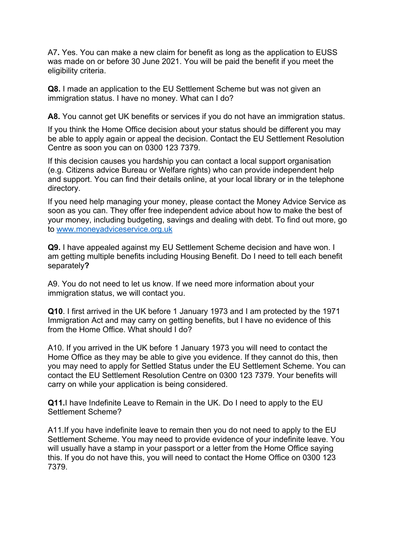A7**.** Yes. You can make a new claim for benefit as long as the application to EUSS was made on or before 30 June 2021. You will be paid the benefit if you meet the eligibility criteria.

**Q8.** I made an application to the EU Settlement Scheme but was not given an immigration status. I have no money. What can I do?

**A8.** You cannot get UK benefits or services if you do not have an immigration status.

If you think the Home Office decision about your status should be different you may be able to apply again or appeal the decision. Contact the EU Settlement Resolution Centre as soon you can on 0300 123 7379.

If this decision causes you hardship you can contact a local support organisation (e.g. Citizens advice Bureau or Welfare rights) who can provide independent help and support. You can find their details online, at your local library or in the telephone directory.

If you need help managing your money, please contact the Money Advice Service as soon as you can. They offer free independent advice about how to make the best of your money, including budgeting, savings and dealing with debt. To find out more, go to [www.moneyadviceservice.org.uk](http://www.moneyadviceservice.org.uk/)

**Q9.** I have appealed against my EU Settlement Scheme decision and have won. I am getting multiple benefits including Housing Benefit. Do I need to tell each benefit separately**?**

A9. You do not need to let us know. If we need more information about your immigration status, we will contact you.

**Q10**. I first arrived in the UK before 1 January 1973 and I am protected by the 1971 Immigration Act and may carry on getting benefits, but I have no evidence of this from the Home Office. What should I do?

A10. If you arrived in the UK before 1 January 1973 you will need to contact the Home Office as they may be able to give you evidence. If they cannot do this, then you may need to apply for Settled Status under the EU Settlement Scheme. You can contact the EU Settlement Resolution Centre on 0300 123 7379. Your benefits will carry on while your application is being considered.

**Q11.**I have Indefinite Leave to Remain in the UK. Do I need to apply to the EU Settlement Scheme?

A11.If you have indefinite leave to remain then you do not need to apply to the EU Settlement Scheme. You may need to provide evidence of your indefinite leave. You will usually have a stamp in your passport or a letter from the Home Office saying this. If you do not have this, you will need to contact the Home Office on 0300 123 7379.